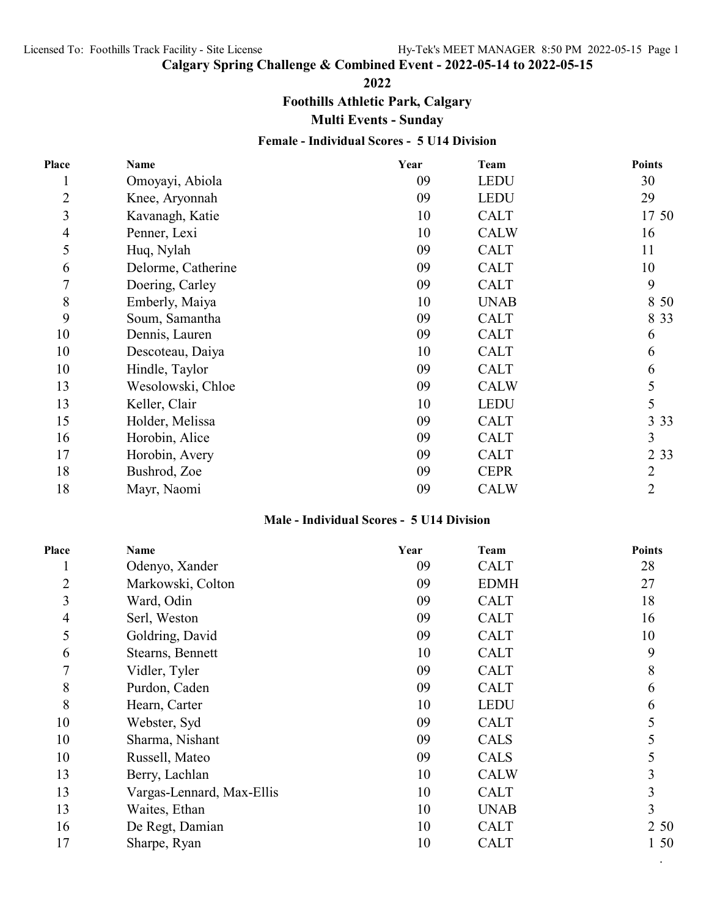# **Calgary Spring Challenge & Combined Event - 2022-05-14 to 2022-05-15**

#### **2022**

**Foothills Athletic Park, Calgary**

**Multi Events - Sunday**

## **Female - Individual Scores - 5 U14 Division**

| Place          | Name               | Year | <b>Team</b> | <b>Points</b> |
|----------------|--------------------|------|-------------|---------------|
|                | Omoyayi, Abiola    | 09   | <b>LEDU</b> | 30            |
| $\overline{2}$ | Knee, Aryonnah     | 09   | <b>LEDU</b> | 29            |
| 3              | Kavanagh, Katie    | 10   | <b>CALT</b> | 17 50         |
| 4              | Penner, Lexi       | 10   | <b>CALW</b> | 16            |
| 5              | Huq, Nylah         | 09   | <b>CALT</b> | 11            |
| 6              | Delorme, Catherine | 09   | <b>CALT</b> | 10            |
| 7              | Doering, Carley    | 09   | <b>CALT</b> | 9             |
| 8              | Emberly, Maiya     | 10   | <b>UNAB</b> | 8 50          |
| 9              | Soum, Samantha     | 09   | <b>CALT</b> | 8 3 3         |
| 10             | Dennis, Lauren     | 09   | <b>CALT</b> | 6             |
| 10             | Descoteau, Daiya   | 10   | <b>CALT</b> | 6             |
| 10             | Hindle, Taylor     | 09   | <b>CALT</b> | 6             |
| 13             | Wesolowski, Chloe  | 09   | <b>CALW</b> |               |
| 13             | Keller, Clair      | 10   | <b>LEDU</b> | 5             |
| 15             | Holder, Melissa    | 09   | <b>CALT</b> | 3 3 3         |
| 16             | Horobin, Alice     | 09   | <b>CALT</b> | 3             |
| 17             | Horobin, Avery     | 09   | <b>CALT</b> | 2 3 3         |
| 18             | Bushrod, Zoe       | 09   | <b>CEPR</b> | 2             |
| 18             | Mayr, Naomi        | 09   | <b>CALW</b> | 2             |
|                |                    |      |             |               |

### **Male - Individual Scores - 5 U14 Division**

| Place          | Name                      | Year | Team        | <b>Points</b> |
|----------------|---------------------------|------|-------------|---------------|
| $\mathbf{I}$   | Odenyo, Xander            | 09   | <b>CALT</b> | 28            |
| $\overline{2}$ | Markowski, Colton         | 09   | <b>EDMH</b> | 27            |
| 3              | Ward, Odin                | 09   | <b>CALT</b> | 18            |
| $\overline{4}$ | Serl, Weston              | 09   | <b>CALT</b> | 16            |
| 5              | Goldring, David           | 09   | <b>CALT</b> | 10            |
| 6              | Stearns, Bennett          | 10   | <b>CALT</b> | 9             |
| $\overline{7}$ | Vidler, Tyler             | 09   | <b>CALT</b> | 8             |
| 8              | Purdon, Caden             | 09   | <b>CALT</b> | 6             |
| 8              | Hearn, Carter             | 10   | <b>LEDU</b> | 6             |
| 10             | Webster, Syd              | 09   | <b>CALT</b> | 5             |
| 10             | Sharma, Nishant           | 09   | CALS        | 5             |
| 10             | Russell, Mateo            | 09   | <b>CALS</b> | 5             |
| 13             | Berry, Lachlan            | 10   | <b>CALW</b> | 3             |
| 13             | Vargas-Lennard, Max-Ellis | 10   | <b>CALT</b> | 3             |
| 13             | Waites, Ethan             | 10   | <b>UNAB</b> | 3             |
| 16             | De Regt, Damian           | 10   | <b>CALT</b> | 2 50          |
| 17             | Sharpe, Ryan              | 10   | <b>CALT</b> | 1 50          |
|                |                           |      |             |               |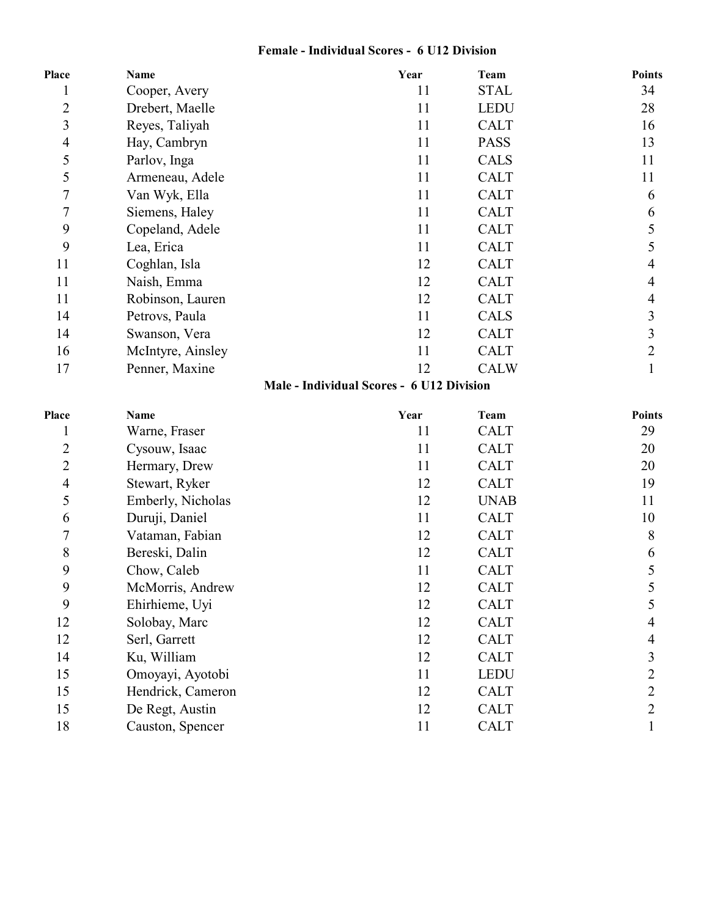## **Female - Individual Scores - 6 U12 Division**

| Place          | Name                                      | Year | Team        | <b>Points</b> |  |
|----------------|-------------------------------------------|------|-------------|---------------|--|
|                | Cooper, Avery                             | 11   | <b>STAL</b> | 34            |  |
| $\overline{2}$ | Drebert, Maelle                           | 11   | <b>LEDU</b> | 28            |  |
| 3              | Reyes, Taliyah                            | 11   | <b>CALT</b> | 16            |  |
| $\overline{4}$ | Hay, Cambryn                              | 11   | <b>PASS</b> | 13            |  |
| 5              | Parlov, Inga                              | 11   | <b>CALS</b> | 11            |  |
| 5              | Armeneau, Adele                           | 11   | <b>CALT</b> | 11            |  |
| 7              | Van Wyk, Ella                             | 11   | <b>CALT</b> | 6             |  |
| 7              | Siemens, Haley                            | 11   | <b>CALT</b> | 6             |  |
| 9              | Copeland, Adele                           | 11   | <b>CALT</b> | 5             |  |
| 9              | Lea, Erica                                | 11   | <b>CALT</b> | 5             |  |
| 11             | Coghlan, Isla                             | 12   | <b>CALT</b> | 4             |  |
| 11             | Naish, Emma                               | 12   | <b>CALT</b> | 4             |  |
| 11             | Robinson, Lauren                          | 12   | <b>CALT</b> | 4             |  |
| 14             | Petrovs, Paula                            | 11   | <b>CALS</b> | 3             |  |
| 14             | Swanson, Vera                             | 12   | <b>CALT</b> | 3             |  |
| 16             | McIntyre, Ainsley                         | 11   | <b>CALT</b> | 2             |  |
| 17             | Penner, Maxine                            | 12   | <b>CALW</b> |               |  |
|                | Male - Individual Scores - 6 U12 Division |      |             |               |  |

| Place          | <b>Name</b>       | Year | Team        | <b>Points</b> |
|----------------|-------------------|------|-------------|---------------|
|                | Warne, Fraser     | 11   | <b>CALT</b> | 29            |
| $\overline{c}$ | Cysouw, Isaac     | 11   | <b>CALT</b> | 20            |
| $\overline{2}$ | Hermary, Drew     | 11   | <b>CALT</b> | 20            |
| 4              | Stewart, Ryker    | 12   | <b>CALT</b> | 19            |
| 5              | Emberly, Nicholas | 12   | <b>UNAB</b> | 11            |
| 6              | Duruji, Daniel    | 11   | <b>CALT</b> | 10            |
| $\overline{7}$ | Vataman, Fabian   | 12   | <b>CALT</b> | 8             |
| 8              | Bereski, Dalin    | 12   | <b>CALT</b> | 6             |
| 9              | Chow, Caleb       | 11   | <b>CALT</b> | 5             |
| 9              | McMorris, Andrew  | 12   | <b>CALT</b> |               |
| 9              | Ehirhieme, Uyi    | 12   | <b>CALT</b> |               |
| 12             | Solobay, Marc     | 12   | <b>CALT</b> | 4             |
| 12             | Serl, Garrett     | 12   | <b>CALT</b> | 4             |
| 14             | Ku, William       | 12   | <b>CALT</b> | 3             |
| 15             | Omoyayi, Ayotobi  | 11   | <b>LEDU</b> | 2             |
| 15             | Hendrick, Cameron | 12   | <b>CALT</b> | 2             |
| 15             | De Regt, Austin   | 12   | <b>CALT</b> | 2             |
| 18             | Causton, Spencer  | 11   | <b>CALT</b> |               |